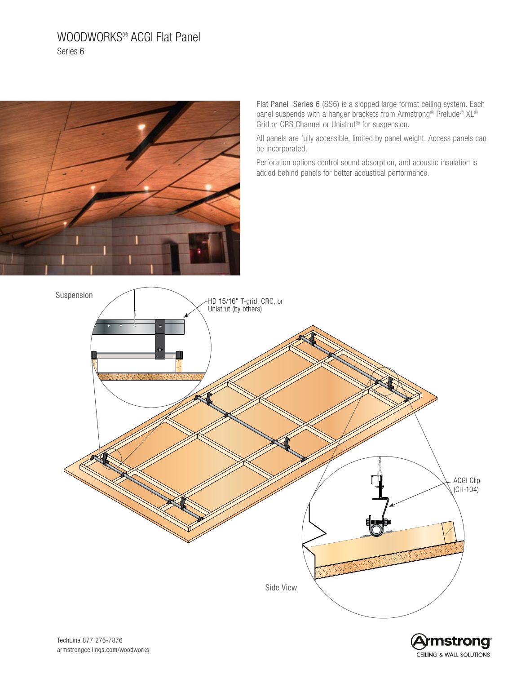# WOODWORKS® ACGI Flat Panel Series 6



Flat Panel Series 6 (SS6) is a slopped large format ceiling system. Each panel suspends with a hanger brackets from Armstrong® Prelude® XL® Grid or CRS Channel or Unistrut® for suspension.

All panels are fully accessible, limited by panel weight. Access panels can be incorporated.

Perforation options control sound absorption, and acoustic insulation is added behind panels for better acoustical performance.